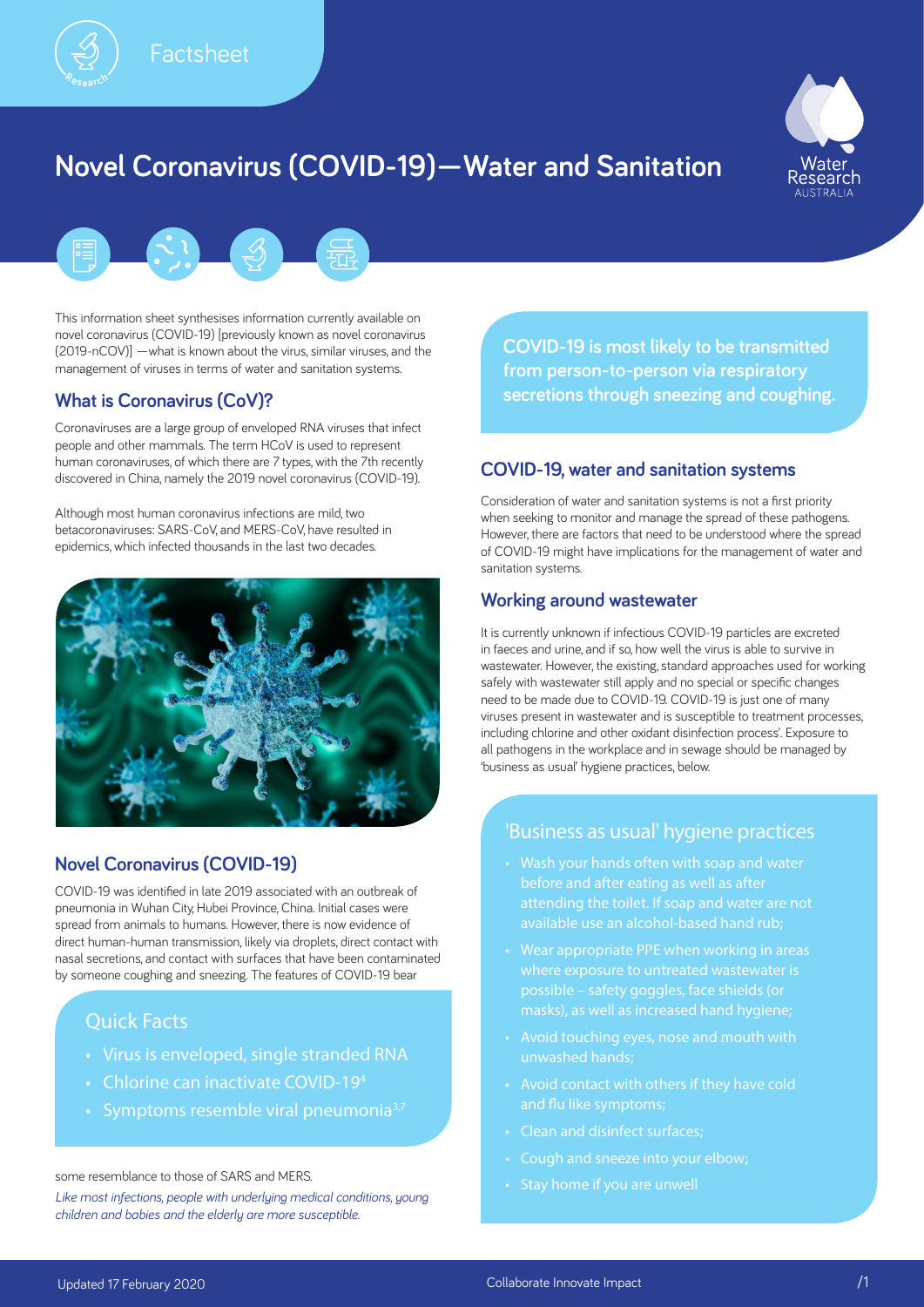

**<sup>R</sup>esearc<sup>h</sup>**

# **Novel Coronavirus (COVID-19)—Water and Sanitation**



This information sheet synthesises information currently available on novel coronavirus (COVID-19) [previously known as novel coronavirus (2019-nCOV)] —what is known about the virus, similar viruses, and the management of viruses in terms of water and sanitation systems.

## **What is Coronavirus (CoV)?**

Coronaviruses are a large group of enveloped RNA viruses that infect people and other mammals. The term HCoV is used to represent human coronaviruses, of which there are 7 types, with the 7th recently discovered in China, namely the 2019 novel coronavirus (COVID-19).

Although most human coronavirus infections are mild, two betacoronaviruses: SARS-CoV, and MERS-CoV, have resulted in epidemics, which infected thousands in the last two decades.



# **Novel Coronavirus (COVID-19)**

COVID-19 was identified in late 2019 associated with an outbreak of pneumonia in Wuhan City, Hubei Province, China. Initial cases were spread from animals to humans. However, there is now evidence of direct human-human transmission, likely via droplets, direct contact with nasal secretions, and contact with surfaces that have been contaminated by someone coughing and sneezing. The features of COVID-19 bear

# Quick Facts

- Virus is enveloped, single stranded RNA
- Chlorine can inactivate COVID-19<sup>4</sup>
- Symptoms resemble viral pneumonia $3,7$

some resemblance to those of SARS and MERS.

*Like most infections, people with underlying medical conditions, young children and babies and the elderly are more susceptible.* 

**COVID-19 is most likely to be transmitted from person-to-person via respiratory secretions through sneezing and coughing.**

## **COVID-19, water and sanitation systems**

Consideration of water and sanitation systems is not a first priority when seeking to monitor and manage the spread of these pathogens. However, there are factors that need to be understood where the spread of COVID-19 might have implications for the management of water and sanitation systems.

## **Working around wastewater**

It is currently unknown if infectious COVID-19 particles are excreted in faeces and urine, and if so, how well the virus is able to survive in wastewater. However, the existing, standard approaches used for working safely with wastewater still apply and no special or specific changes need to be made due to COVID-19. COVID-19 is just one of many viruses present in wastewater and is susceptible to treatment processes, including chlorine and other oxidant disinfection process'. Exposure to all pathogens in the workplace and in sewage should be managed by 'business as usual' hygiene practices, below.

## 'Business as usual' hygiene practices

- Wash your hands often with soap and water before and after eating as well as after attending the toilet. If soap and water are not available use an alcohol-based hand rub;
- Wear appropriate PPE when working in areas where exposure to untreated wastewater is possible – safety goggles, face shields (or masks), as well as increased hand hygiene;
- Avoid touching eyes, nose and mouth with unwashed hands;
- Avoid contact with others if they have cold and flu like symptoms;
- Clean and disinfect surfaces;
- 
- Stay home if you are unwell